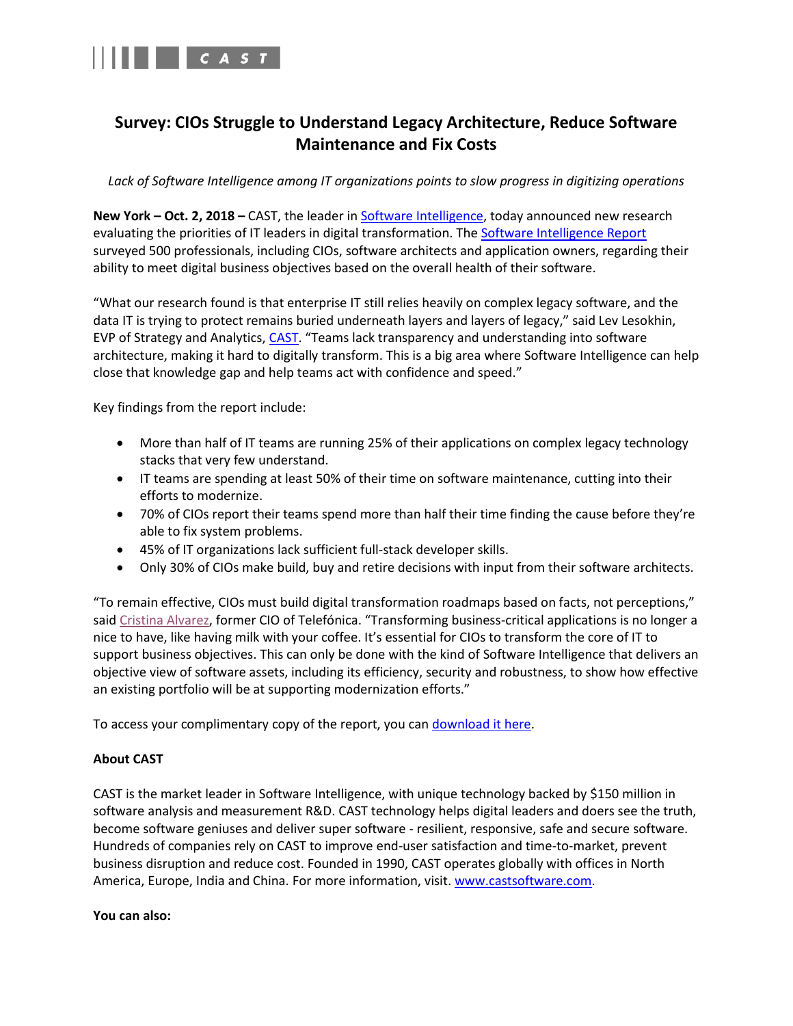

## **Survey: CIOs Struggle to Understand Legacy Architecture, Reduce Software Maintenance and Fix Costs**

*Lack of Software Intelligence among IT organizations points to slow progress in digitizing operations*

**New York – Oct. 2, 2018 –** CAST, the leader in [Software Intelligence,](https://www.castsoftware.com/software-intelligence) today announced new research evaluating the priorities of IT leaders in digital transformation. Th[e Software Intelligence Report](https://content.castsoftware.com/download-software-intelligence-report-cio-priorities-in-the-digital-age) surveyed 500 professionals, including CIOs, software architects and application owners, regarding their ability to meet digital business objectives based on the overall health of their software.

"What our research found is that enterprise IT still relies heavily on complex legacy software, and the data IT is trying to protect remains buried underneath layers and layers of legacy," said Lev Lesokhin, EVP of Strategy and Analytics[, CAST.](http://www.castsoftware.com/) "Teams lack transparency and understanding into software architecture, making it hard to digitally transform. This is a big area where Software Intelligence can help close that knowledge gap and help teams act with confidence and speed."

Key findings from the report include:

- More than half of IT teams are running 25% of their applications on complex legacy technology stacks that very few understand.
- IT teams are spending at least 50% of their time on software maintenance, cutting into their efforts to modernize.
- 70% of CIOs report their teams spend more than half their time finding the cause before they're able to fix system problems.
- 45% of IT organizations lack sufficient full-stack developer skills.
- Only 30% of CIOs make build, buy and retire decisions with input from their software architects.

"To remain effective, CIOs must build digital transformation roadmaps based on facts, not perceptions," said [Cristina Alvarez](https://www.linkedin.com/in/cristina-alvarez-alvarez-39b1a610/), former CIO of Telefónica. "Transforming business-critical applications is no longer a nice to have, like having milk with your coffee. It's essential for CIOs to transform the core of IT to support business objectives. This can only be done with the kind of Software Intelligence that delivers an objective view of software assets, including its efficiency, security and robustness, to show how effective an existing portfolio will be at supporting modernization efforts."

To access your complimentary copy of the report, you ca[n download it here.](https://content.castsoftware.com/download-software-intelligence-report-cio-priorities-in-the-digital-age)

## **About CAST**

CAST is the market leader in Software Intelligence, with unique technology backed by \$150 million in software analysis and measurement R&D. CAST technology helps digital leaders and doers see the truth, become software geniuses and deliver super software - resilient, responsive, safe and secure software. Hundreds of companies rely on CAST to improve end-user satisfaction and time-to-market, prevent business disruption and reduce cost. Founded in 1990, CAST operates globally with offices in North America, Europe, India and China. For more information, visit. [www.castsoftware.com.](http://www.castsoftware.com/)

**You can also:**